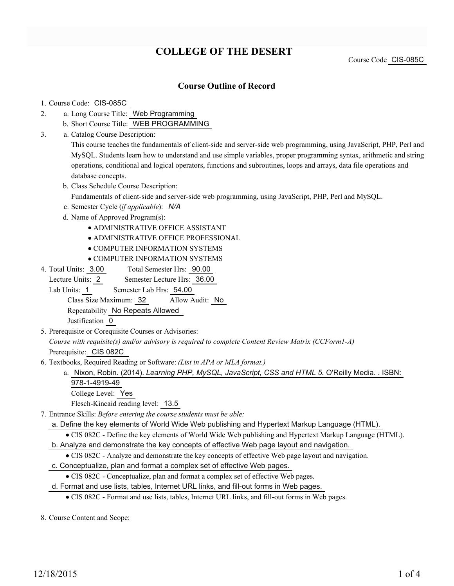# **COLLEGE OF THE DESERT**

Course Code CIS-085C

### **Course Outline of Record**

#### 1. Course Code: CIS-085C

- a. Long Course Title: Web Programming 2.
	- b. Short Course Title: WEB PROGRAMMING
- Catalog Course Description: a. 3.

This course teaches the fundamentals of client-side and server-side web programming, using JavaScript, PHP, Perl and MySQL. Students learn how to understand and use simple variables, proper programming syntax, arithmetic and string operations, conditional and logical operators, functions and subroutines, loops and arrays, data file operations and database concepts.

b. Class Schedule Course Description:

Fundamentals of client-side and server-side web programming, using JavaScript, PHP, Perl and MySQL.

- c. Semester Cycle (*if applicable*): *N/A*
- d. Name of Approved Program(s):
	- ADMINISTRATIVE OFFICE ASSISTANT
	- ADMINISTRATIVE OFFICE PROFESSIONAL
	- COMPUTER INFORMATION SYSTEMS
	- COMPUTER INFORMATION SYSTEMS
- Total Semester Hrs: 90.00 4. Total Units: 3.00

Lecture Units: 2 Semester Lecture Hrs: 36.00

Lab Units: 1 Semester Lab Hrs: 54.00

Class Size Maximum: 32 Allow Audit: No

Repeatability No Repeats Allowed

Justification 0

5. Prerequisite or Corequisite Courses or Advisories:

*Course with requisite(s) and/or advisory is required to complete Content Review Matrix (CCForm1-A)* Prerequisite: CIS 082C

- Textbooks, Required Reading or Software: *(List in APA or MLA format.)* 6.
	- a. Nixon, Robin. (2014). *Learning PHP, MySQL, JavaScript, CSS and HTML 5.* O'Reilly Media. . ISBN: 978-1-4919-49
		- College Level: Yes

Flesch-Kincaid reading level: 13.5

- Entrance Skills: *Before entering the course students must be able:* 7.
	- a. Define the key elements of World Wide Web publishing and Hypertext Markup Language (HTML).
	- CIS 082C Define the key elements of World Wide Web publishing and Hypertext Markup Language (HTML).

b. Analyze and demonstrate the key concepts of effective Web page layout and navigation.

- CIS 082C Analyze and demonstrate the key concepts of effective Web page layout and navigation.
- c. Conceptualize, plan and format a complex set of effective Web pages.
	- CIS 082C Conceptualize, plan and format a complex set of effective Web pages.

d. Format and use lists, tables, Internet URL links, and fill-out forms in Web pages.

- CIS 082C Format and use lists, tables, Internet URL links, and fill-out forms in Web pages.
- 8. Course Content and Scope: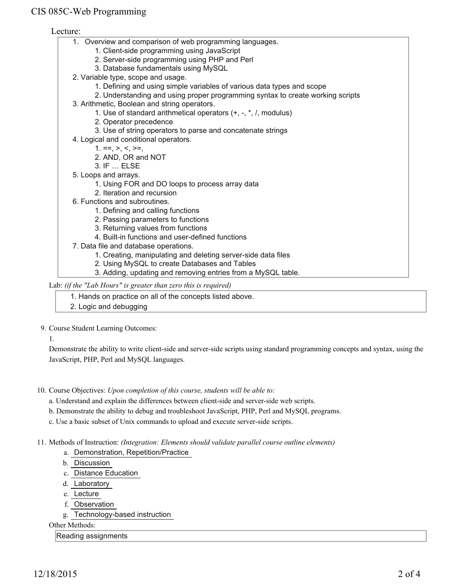### CIS 085C-Web Programming

### Lecture:

- 1. Overview and comparison of web programming languages.
	- 1. Client-side programming using JavaScript
	- 2. Server-side programming using PHP and Perl
	- 3. Database fundamentals using MySQL
- 2. Variable type, scope and usage.
	- 1. Defining and using simple variables of various data types and scope
	- 2. Understanding and using proper programming syntax to create working scripts
- 3. Arithmetic, Boolean and string operators.
	- 1. Use of standard arithmetical operators (+, -, \*, /, modulus)
	- 2. Operator precedence
	- 3. Use of string operators to parse and concatenate strings
- 4. Logical and conditional operators.
	- $1. ==, >, <, >=,$
	- 2. AND, OR and NOT
	- 3. IF … ELSE
- 5. Loops and arrays.
	- 1. Using FOR and DO loops to process array data
	- 2. Iteration and recursion
- 6. Functions and subroutines.
	- 1. Defining and calling functions
	- 2. Passing parameters to functions
	- 3. Returning values from functions
	- 4. Built-in functions and user-defined functions
- 7. Data file and database operations.
	- 1. Creating, manipulating and deleting server-side data files
	- 2. Using MySQL to create Databases and Tables
	- 3. Adding, updating and removing entries from a MySQL table.

Lab: *(if the "Lab Hours" is greater than zero this is required)*

1. Hands on practice on all of the concepts listed above.

2. Logic and debugging

### 9. Course Student Learning Outcomes:

1.

Demonstrate the ability to write client-side and server-side scripts using standard programming concepts and syntax, using the JavaScript, PHP, Perl and MySQL languages.

- 10. Course Objectives: Upon completion of this course, students will be able to:
	- a. Understand and explain the differences between client-side and server-side web scripts.
	- b. Demonstrate the ability to debug and troubleshoot JavaScript, PHP, Perl and MySQL programs.
	- c. Use a basic subset of Unix commands to upload and execute server-side scripts.

### 11. Methods of Instruction: *(Integration: Elements should validate parallel course outline elements)*

- a. Demonstration, Repetition/Practice
- b. Discussion
- c. Distance Education
- d. Laboratory
- e. Lecture
- f. Observation
- g. Technology-based instruction

Other Methods:

#### Reading assignments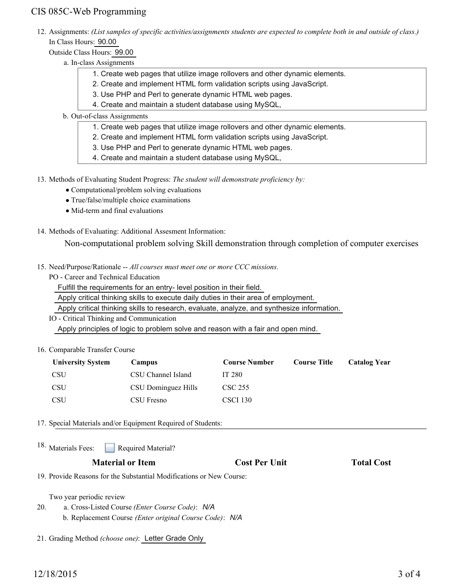## CIS 085C-Web Programming

12. Assignments: (List samples of specific activities/assignments students are expected to complete both in and outside of class.) In Class Hours: 90.00

Outside Class Hours: 99.00

- a. In-class Assignments
	- 1. Create web pages that utilize image rollovers and other dynamic elements.
	- 2. Create and implement HTML form validation scripts using JavaScript.
	- 3. Use PHP and Perl to generate dynamic HTML web pages.
	- 4. Create and maintain a student database using MySQL,
- b. Out-of-class Assignments
	- 1. Create web pages that utilize image rollovers and other dynamic elements.
	- 2. Create and implement HTML form validation scripts using JavaScript.
	- 3. Use PHP and Perl to generate dynamic HTML web pages.
	- 4. Create and maintain a student database using MySQL,

13. Methods of Evaluating Student Progress: The student will demonstrate proficiency by:

- Computational/problem solving evaluations
- True/false/multiple choice examinations
- Mid-term and final evaluations
- 14. Methods of Evaluating: Additional Assesment Information:

Non-computational problem solving Skill demonstration through completion of computer exercises

- 15. Need/Purpose/Rationale -- All courses must meet one or more CCC missions.
	- PO Career and Technical Education

Fulfill the requirements for an entry- level position in their field.

Apply critical thinking skills to execute daily duties in their area of employment.

Apply critical thinking skills to research, evaluate, analyze, and synthesize information.

IO - Critical Thinking and Communication Apply principles of logic to problem solve and reason with a fair and open mind.

### 16. Comparable Transfer Course

| <b>University System</b> | Campus              | <b>Course Number</b> | <b>Course Title</b> | Catalog Year |
|--------------------------|---------------------|----------------------|---------------------|--------------|
| <b>CSU</b>               | CSU Channel Island  | IT 280               |                     |              |
| <b>CSU</b>               | CSU Dominguez Hills | CSC 255              |                     |              |
| <b>CSU</b>               | CSU Fresno          | CSCI 130             |                     |              |

17. Special Materials and/or Equipment Required of Students:

Required Material? 18. Materials Fees:

### **Material or Item Cost Per Unit Total Cost Per Unit Total Cost**

19. Provide Reasons for the Substantial Modifications or New Course:

Two year periodic review

- a. Cross-Listed Course *(Enter Course Code)*: *N/A* 20.
	- b. Replacement Course *(Enter original Course Code)*: *N/A*
- 21. Grading Method *(choose one)*: Letter Grade Only